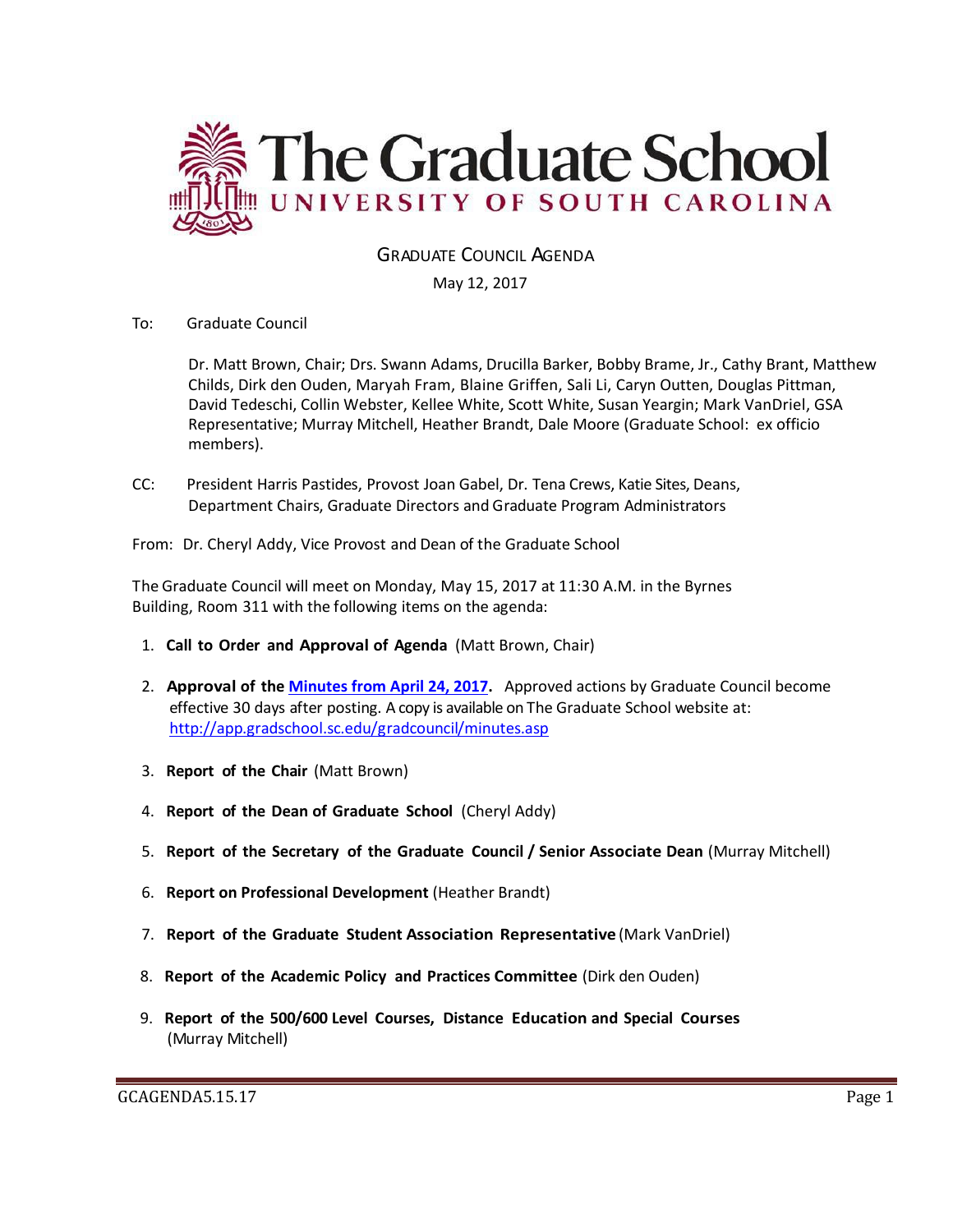

# GRADUATE COUNCIL AGENDA

May 12, 2017

To: Graduate Council

Dr. Matt Brown, Chair; Drs. Swann Adams, Drucilla Barker, Bobby Brame, Jr., Cathy Brant, Matthew Childs, Dirk den Ouden, Maryah Fram, Blaine Griffen, Sali Li, Caryn Outten, Douglas Pittman, David Tedeschi, Collin Webster, Kellee White, Scott White, Susan Yeargin; Mark VanDriel, GSA Representative; Murray Mitchell, Heather Brandt, Dale Moore (Graduate School: ex officio members).

CC: President Harris Pastides, Provost Joan Gabel, Dr. Tena Crews, Katie Sites, Deans, Department Chairs, Graduate Directors and Graduate Program Administrators

From: Dr. Cheryl Addy, Vice Provost and Dean of the Graduate School

The Graduate Council will meet on Monday, May 15, 2017 at 11:30 A.M. in the Byrnes Building, Room 311 with the following items on the agenda:

- 1. **Call to Order and Approval of Agenda** (Matt Brown, Chair)
- 2. **Approval of the [Minutes from April 24, 2017.](Grad%20Council%20Minutes/GCMINS.%204.28.17%20w%204attachments.pdf)** Approved actions by Graduate Council become effective 30 days after posting. A copy is available on The Graduate School website at: <http://app.gradschool.sc.edu/gradcouncil/minutes.asp>
- 3. **Report of the Chair** (Matt Brown)
- 4. **Report of the Dean of Graduate School** (Cheryl Addy)
- 5. **Report of the Secretary of the Graduate Council / Senior Associate Dean** (Murray Mitchell)
- 6. **Report on Professional Development** (Heather Brandt)
- 7. **Report of the Graduate Student Association Representative** (Mark VanDriel)
- 8. **Report of the Academic Policy and Practices Committee** (Dirk den Ouden)
- 9. **Report of the 500/600 Level Courses, Distance Education and Special Courses** (Murray Mitchell)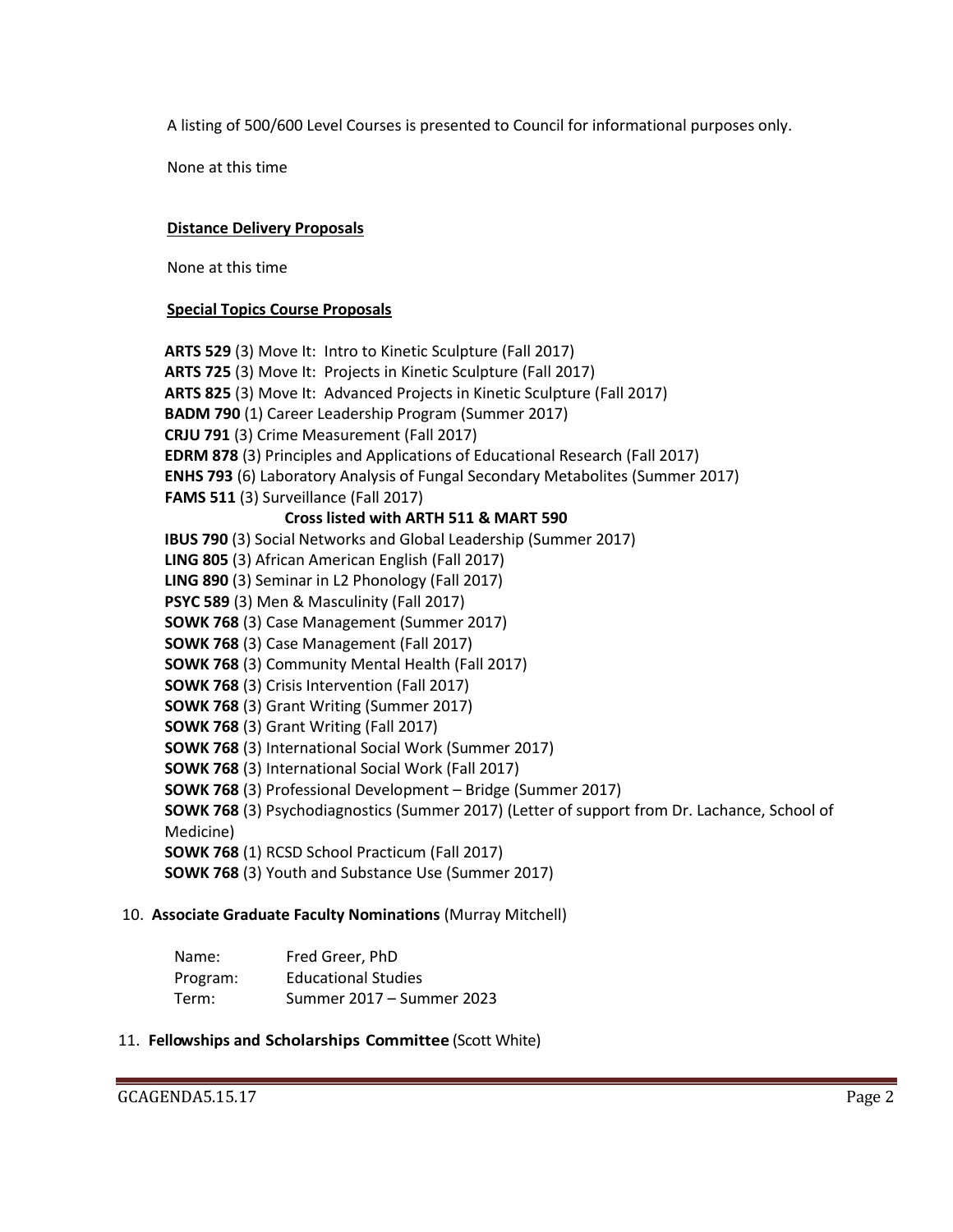A listing of 500/600 Level Courses is presented to Council for informational purposes only.

None at this time

## **Distance Delivery Proposals**

None at this time

### **Special Topics Course Proposals**

 **ARTS 529** (3) Move It: Intro to Kinetic Sculpture (Fall 2017)  **ARTS 725** (3) Move It: Projects in Kinetic Sculpture (Fall 2017)  **ARTS 825** (3) Move It: Advanced Projects in Kinetic Sculpture (Fall 2017)  **BADM 790** (1) Career Leadership Program (Summer 2017)  **CRJU 791** (3) Crime Measurement (Fall 2017)  **EDRM 878** (3) Principles and Applications of Educational Research (Fall 2017)  **ENHS 793** (6) Laboratory Analysis of Fungal Secondary Metabolites (Summer 2017)  **FAMS 511** (3) Surveillance (Fall 2017)  **Cross listed with ARTH 511 & MART 590 IBUS 790** (3) Social Networks and Global Leadership (Summer 2017)  **LING 805** (3) African American English (Fall 2017)  **LING 890** (3) Seminar in L2 Phonology (Fall 2017)  **PSYC 589** (3) Men & Masculinity (Fall 2017)  **SOWK 768** (3) Case Management (Summer 2017)  **SOWK 768** (3) Case Management (Fall 2017)  **SOWK 768** (3) Community Mental Health (Fall 2017)  **SOWK 768** (3) Crisis Intervention (Fall 2017)  **SOWK 768** (3) Grant Writing (Summer 2017)  **SOWK 768** (3) Grant Writing (Fall 2017)  **SOWK 768** (3) International Social Work (Summer 2017)  **SOWK 768** (3) International Social Work (Fall 2017)  **SOWK 768** (3) Professional Development – Bridge (Summer 2017)  **SOWK 768** (3) Psychodiagnostics (Summer 2017) (Letter of support from Dr. Lachance, School of Medicine)  **SOWK 768** (1) RCSD School Practicum (Fall 2017)  **SOWK 768** (3) Youth and Substance Use (Summer 2017)

# 10. **Associate Graduate Faculty Nominations** (Murray Mitchell)

| Name:    | Fred Greer, PhD            |
|----------|----------------------------|
| Program: | <b>Educational Studies</b> |
| Term:    | Summer 2017 – Summer 2023  |

### 11. **Fellowships and Scholarships Committee** (Scott White)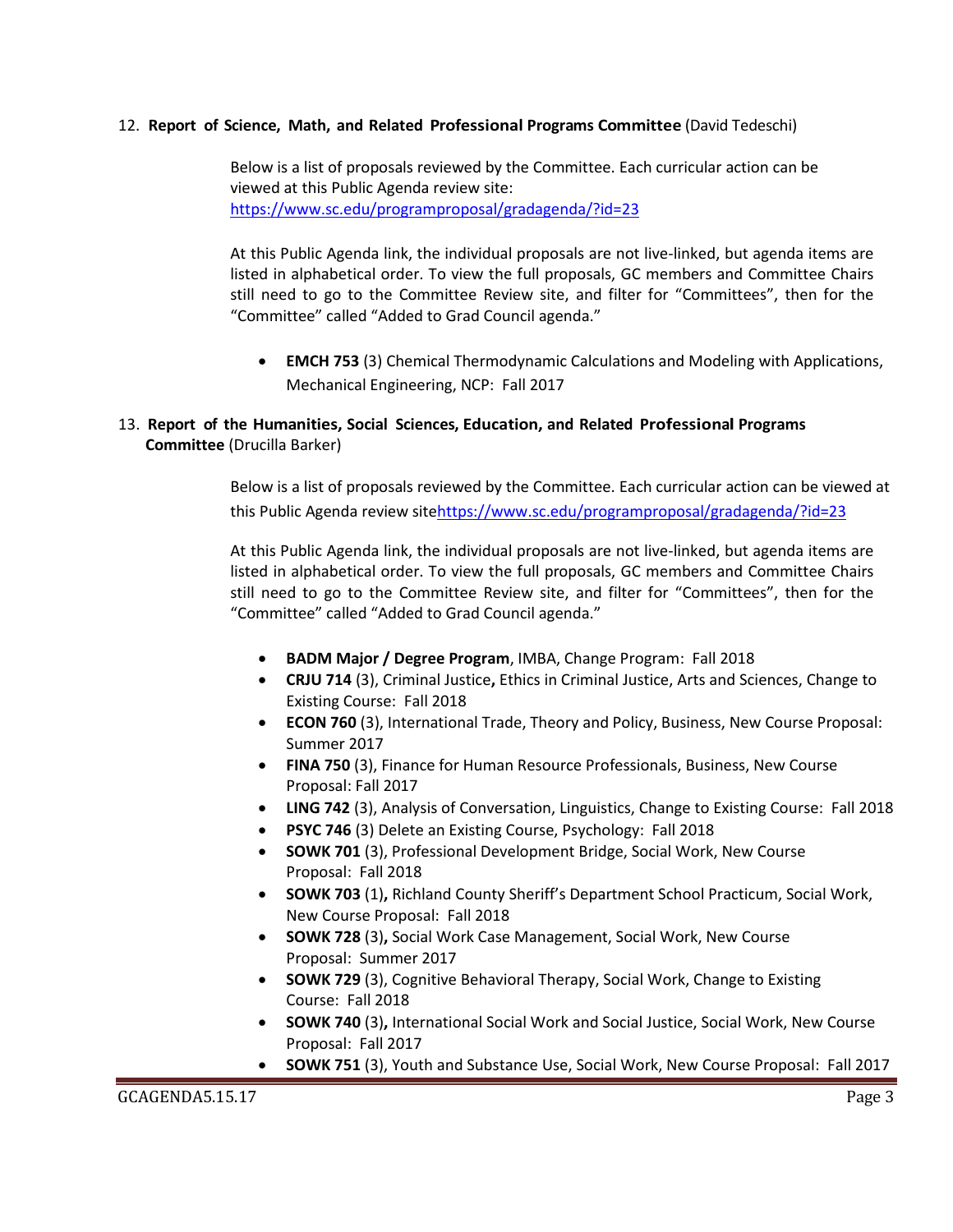### 12. **Report of Science, Math, and Related Professional Programs Committee** (David Tedeschi)

Below is a list of proposals reviewed by the Committee. Each curricular action can be viewed at this Public Agenda review site: <https://www.sc.edu/programproposal/gradagenda/?id=23>

At this Public Agenda link, the individual proposals are not live-linked, but agenda items are listed in alphabetical order. To view the full proposals, GC members and Committee Chairs still need to go to the Committee Review site, and filter for "Committees", then for the "Committee" called "Added to Grad Council agenda."

 **EMCH 753** (3) Chemical Thermodynamic Calculations and Modeling with Applications, Mechanical Engineering, NCP: Fall 2017

## 13. **Report of the Humanities, Social Sciences, Education, and Related Professional Programs Committee** (Drucilla Barker)

Below is a list of proposals reviewed by the Committee. Each curricular action can be viewed at this Public Agenda review sit[ehttps://www.sc.edu/programproposal/gradagenda/?id=23](https://www.sc.edu/programproposal/gradagenda/?id=23)

At this Public Agenda link, the individual proposals are not live-linked, but agenda items are listed in alphabetical order. To view the full proposals, GC members and Committee Chairs still need to go to the Committee Review site, and filter for "Committees", then for the "Committee" called "Added to Grad Council agenda."

- **BADM Major / Degree Program**, IMBA, Change Program: Fall 2018
- **CRJU 714** (3), Criminal Justice**,** Ethics in Criminal Justice, Arts and Sciences, Change to Existing Course: Fall 2018
- **ECON 760** (3), International Trade, Theory and Policy, Business, New Course Proposal: Summer 2017
- **FINA 750** (3), Finance for Human Resource Professionals, Business, New Course Proposal: Fall 2017
- **LING 742** (3), Analysis of Conversation, Linguistics, Change to Existing Course: Fall 2018
- **PSYC 746** (3) Delete an Existing Course, Psychology: Fall 2018
- **SOWK 701** (3), Professional Development Bridge, Social Work, New Course Proposal: Fall 2018
- **SOWK 703** (1)**,** Richland County Sheriff's Department School Practicum, Social Work, New Course Proposal: Fall 2018
- **SOWK 728** (3)**,** Social Work Case Management, Social Work, New Course Proposal: Summer 2017
- **SOWK 729** (3), Cognitive Behavioral Therapy, Social Work, Change to Existing Course: Fall 2018
- **SOWK 740** (3)**,** International Social Work and Social Justice, Social Work, New Course Proposal: Fall 2017
- **SOWK 751** (3), Youth and Substance Use, Social Work, New Course Proposal: Fall 2017